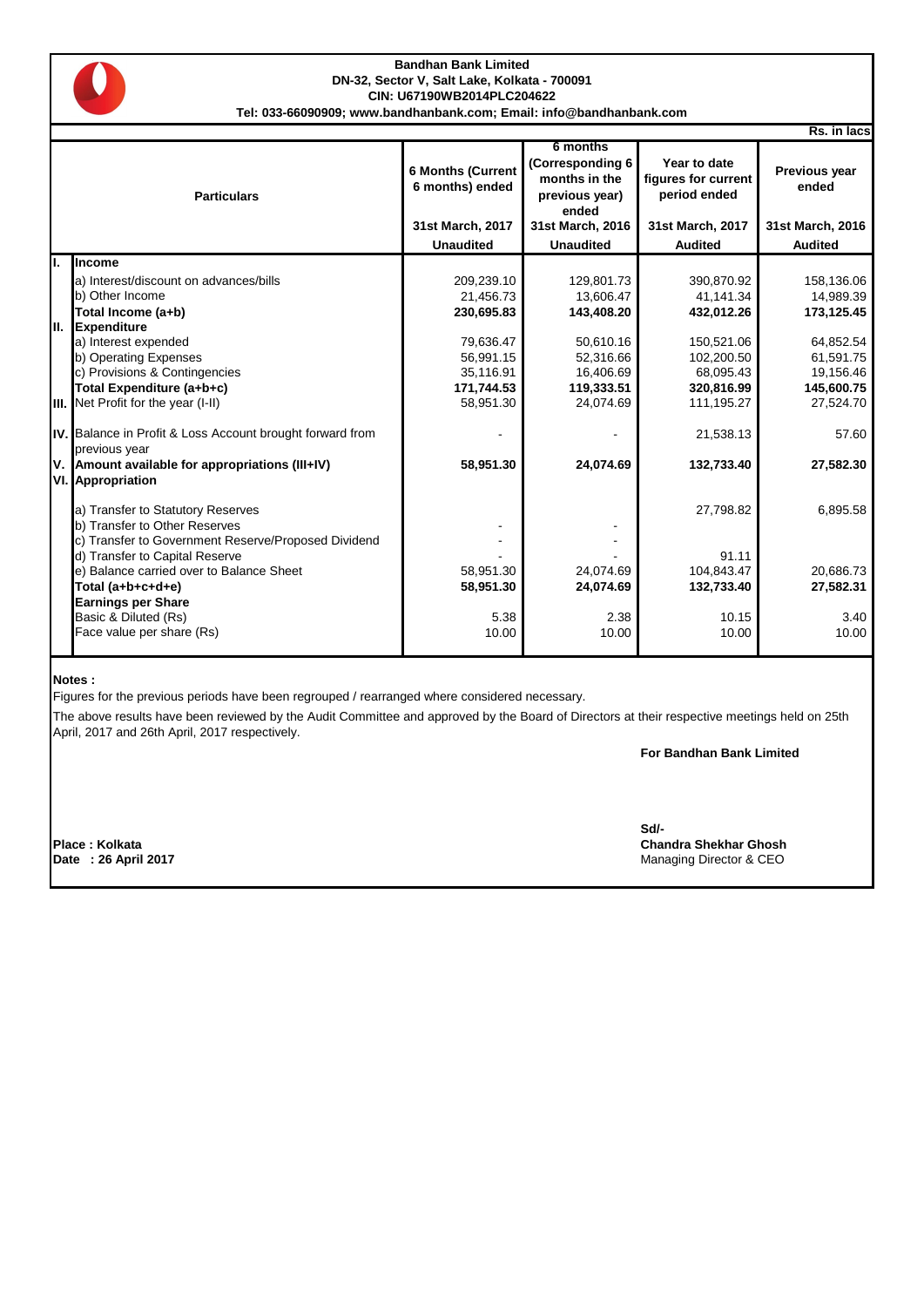

## **Bandhan Bank Limited DN-32, Sector V, Salt Lake, Kolkata - 700091 CIN: U67190WB2014PLC204622 Tel: 033-66090909; www.bandhanbank.com; Email: info@bandhanbank.com**

|     | Rs. in lacs                                                                                                                                        |                                                                                     |                                                                                                                  |                                                                                           |                                                                |  |  |
|-----|----------------------------------------------------------------------------------------------------------------------------------------------------|-------------------------------------------------------------------------------------|------------------------------------------------------------------------------------------------------------------|-------------------------------------------------------------------------------------------|----------------------------------------------------------------|--|--|
|     | <b>Particulars</b>                                                                                                                                 | <b>6 Months (Current</b><br>6 months) ended<br>31st March, 2017<br><b>Unaudited</b> | 6 months<br>(Corresponding 6<br>months in the<br>previous year)<br>ended<br>31st March, 2016<br><b>Unaudited</b> | Year to date<br>figures for current<br>period ended<br>31st March, 2017<br><b>Audited</b> | Previous year<br>ended<br>31st March, 2016<br><b>Audited</b>   |  |  |
| Ι.  | Income                                                                                                                                             |                                                                                     |                                                                                                                  |                                                                                           |                                                                |  |  |
|     | a) Interest/discount on advances/bills<br>b) Other Income<br>Total Income (a+b)<br>II. Expenditure                                                 | 209,239.10<br>21,456.73<br>230,695.83                                               | 129,801.73<br>13,606.47<br>143,408.20                                                                            | 390,870.92<br>41,141.34<br>432,012.26                                                     | 158,136.06<br>14,989.39<br>173,125.45                          |  |  |
|     | a) Interest expended<br>b) Operating Expenses<br>c) Provisions & Contingencies<br>Total Expenditure (a+b+c)<br>III. Net Profit for the year (I-II) | 79,636.47<br>56,991.15<br>35,116.91<br>171,744.53<br>58,951.30                      | 50,610.16<br>52,316.66<br>16,406.69<br>119,333.51<br>24,074.69                                                   | 150,521.06<br>102,200.50<br>68,095.43<br>320,816.99<br>111,195.27                         | 64,852.54<br>61,591.75<br>19,156.46<br>145,600.75<br>27,524.70 |  |  |
|     | IV. Balance in Profit & Loss Account brought forward from<br>previous year                                                                         |                                                                                     |                                                                                                                  | 21,538.13                                                                                 | 57.60                                                          |  |  |
| VI. | V. Amount available for appropriations (III+IV)<br>Appropriation                                                                                   | 58,951.30                                                                           | 24,074.69                                                                                                        | 132,733.40                                                                                | 27,582.30                                                      |  |  |
|     | a) Transfer to Statutory Reserves<br>b) Transfer to Other Reserves<br>c) Transfer to Government Reserve/Proposed Dividend                          |                                                                                     |                                                                                                                  | 27,798.82                                                                                 | 6,895.58                                                       |  |  |
|     | d) Transfer to Capital Reserve<br>e) Balance carried over to Balance Sheet<br>Total (a+b+c+d+e)<br><b>Earnings per Share</b>                       | 58,951.30<br>58,951.30                                                              | 24,074.69<br>24,074.69                                                                                           | 91.11<br>104,843.47<br>132,733.40                                                         | 20,686.73<br>27,582.31                                         |  |  |
|     | Basic & Diluted (Rs)<br>Face value per share (Rs)                                                                                                  | 5.38<br>10.00                                                                       | 2.38<br>10.00                                                                                                    | 10.15<br>10.00                                                                            | 3.40<br>10.00                                                  |  |  |

## **Notes :**

Figures for the previous periods have been regrouped / rearranged where considered necessary.

The above results have been reviewed by the Audit Committee and approved by the Board of Directors at their respective meetings held on 25th April, 2017 and 26th April, 2017 respectively.

**For Bandhan Bank Limited**

**Sd/- Place : Kolkata Chandra Shekhar Ghosh Managing Director & CEO**